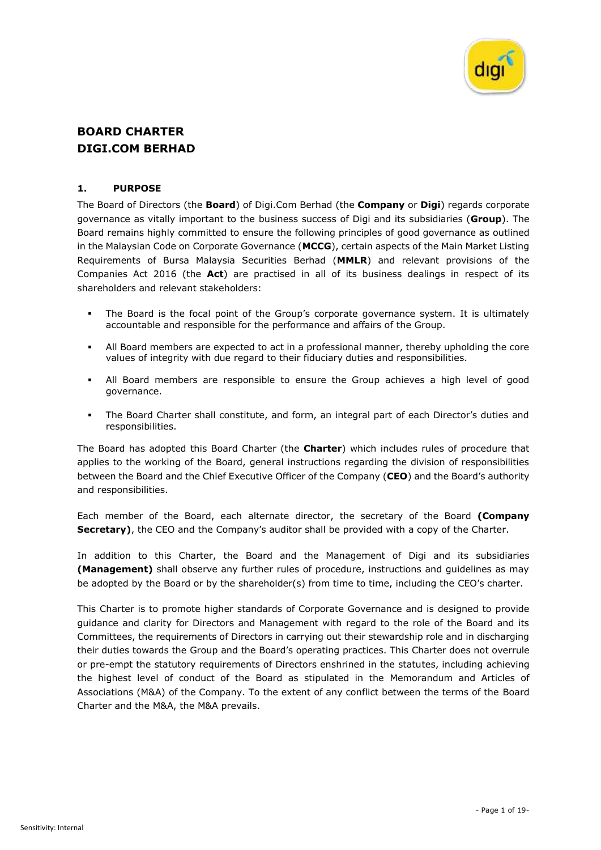

# **BOARD CHARTER DIGI.COM BERHAD**

### **1. PURPOSE**

The Board of Directors (the **Board**) of Digi.Com Berhad (the **Company** or **Digi**) regards corporate governance as vitally important to the business success of Digi and its subsidiaries (**Group**). The Board remains highly committed to ensure the following principles of good governance as outlined in the Malaysian Code on Corporate Governance (**MCCG**), certain aspects of the Main Market Listing Requirements of Bursa Malaysia Securities Berhad (**MMLR**) and relevant provisions of the Companies Act 2016 (the **Act**) are practised in all of its business dealings in respect of its shareholders and relevant stakeholders:

- The Board is the focal point of the Group's corporate governance system. It is ultimately accountable and responsible for the performance and affairs of the Group.
- All Board members are expected to act in a professional manner, thereby upholding the core values of integrity with due regard to their fiduciary duties and responsibilities.
- All Board members are responsible to ensure the Group achieves a high level of good governance.
- The Board Charter shall constitute, and form, an integral part of each Director's duties and responsibilities.

The Board has adopted this Board Charter (the **Charter**) which includes rules of procedure that applies to the working of the Board, general instructions regarding the division of responsibilities between the Board and the Chief Executive Officer of the Company (**CEO**) and the Board's authority and responsibilities.

Each member of the Board, each alternate director, the secretary of the Board **(Company Secretary**), the CEO and the Company's auditor shall be provided with a copy of the Charter.

In addition to this Charter, the Board and the Management of Digi and its subsidiaries **(Management)** shall observe any further rules of procedure, instructions and guidelines as may be adopted by the Board or by the shareholder(s) from time to time, including the CEO's charter.

This Charter is to promote higher standards of Corporate Governance and is designed to provide guidance and clarity for Directors and Management with regard to the role of the Board and its Committees, the requirements of Directors in carrying out their stewardship role and in discharging their duties towards the Group and the Board's operating practices. This Charter does not overrule or pre-empt the statutory requirements of Directors enshrined in the statutes, including achieving the highest level of conduct of the Board as stipulated in the Memorandum and Articles of Associations (M&A) of the Company. To the extent of any conflict between the terms of the Board Charter and the M&A, the M&A prevails.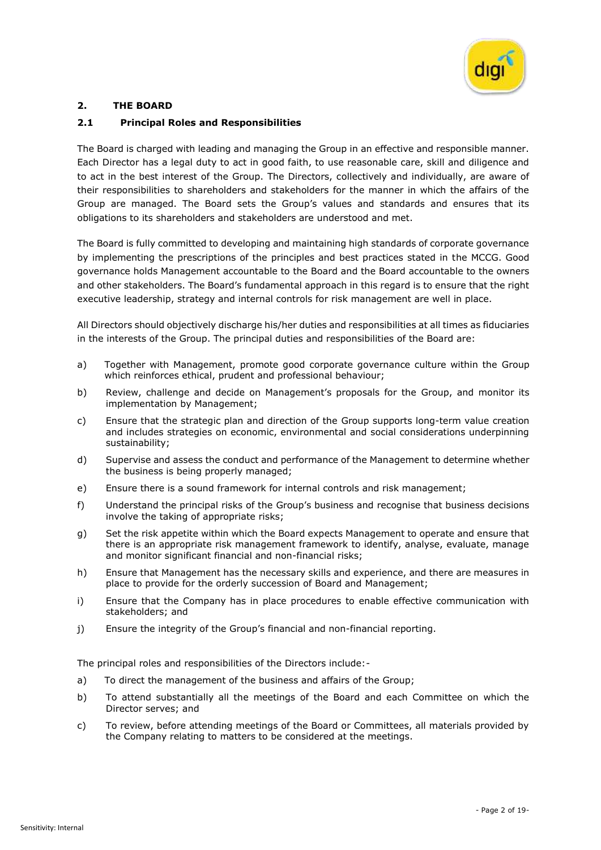

# **2. THE BOARD**

# **2.1 Principal Roles and Responsibilities**

The Board is charged with leading and managing the Group in an effective and responsible manner. Each Director has a legal duty to act in good faith, to use reasonable care, skill and diligence and to act in the best interest of the Group. The Directors, collectively and individually, are aware of their responsibilities to shareholders and stakeholders for the manner in which the affairs of the Group are managed. The Board sets the Group's values and standards and ensures that its obligations to its shareholders and stakeholders are understood and met.

The Board is fully committed to developing and maintaining high standards of corporate governance by implementing the prescriptions of the principles and best practices stated in the MCCG. Good governance holds Management accountable to the Board and the Board accountable to the owners and other stakeholders. The Board's fundamental approach in this regard is to ensure that the right executive leadership, strategy and internal controls for risk management are well in place.

All Directors should objectively discharge his/her duties and responsibilities at all times as fiduciaries in the interests of the Group. The principal duties and responsibilities of the Board are:

- a) Together with Management, promote good corporate governance culture within the Group which reinforces ethical, prudent and professional behaviour;
- b) Review, challenge and decide on Management's proposals for the Group, and monitor its implementation by Management;
- c) Ensure that the strategic plan and direction of the Group supports long-term value creation and includes strategies on economic, environmental and social considerations underpinning sustainability;
- d) Supervise and assess the conduct and performance of the Management to determine whether the business is being properly managed;
- e) Ensure there is a sound framework for internal controls and risk management;
- f) Understand the principal risks of the Group's business and recognise that business decisions involve the taking of appropriate risks;
- g) Set the risk appetite within which the Board expects Management to operate and ensure that there is an appropriate risk management framework to identify, analyse, evaluate, manage and monitor significant financial and non-financial risks;
- h) Ensure that Management has the necessary skills and experience, and there are measures in place to provide for the orderly succession of Board and Management;
- i) Ensure that the Company has in place procedures to enable effective communication with stakeholders; and
- j) Ensure the integrity of the Group's financial and non-financial reporting.

The principal roles and responsibilities of the Directors include:-

- a) To direct the management of the business and affairs of the Group;
- b) To attend substantially all the meetings of the Board and each Committee on which the Director serves; and
- c) To review, before attending meetings of the Board or Committees, all materials provided by the Company relating to matters to be considered at the meetings.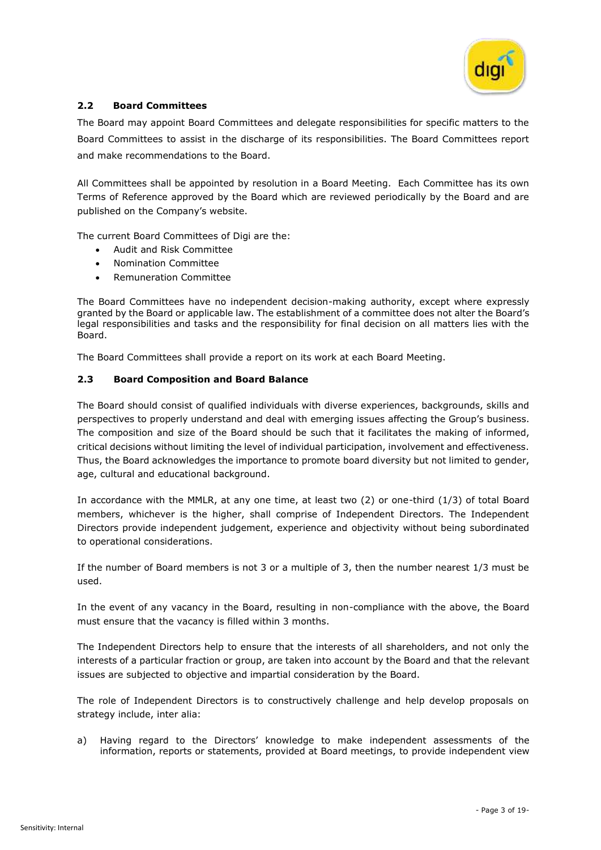

# **2.2 Board Committees**

The Board may appoint Board Committees and delegate responsibilities for specific matters to the Board Committees to assist in the discharge of its responsibilities. The Board Committees report and make recommendations to the Board.

All Committees shall be appointed by resolution in a Board Meeting. Each Committee has its own Terms of Reference approved by the Board which are reviewed periodically by the Board and are published on the Company's website.

The current Board Committees of Digi are the:

- Audit and Risk Committee
- Nomination Committee
- Remuneration Committee

The Board Committees have no independent decision-making authority, except where expressly granted by the Board or applicable law. The establishment of a committee does not alter the Board's legal responsibilities and tasks and the responsibility for final decision on all matters lies with the Board.

The Board Committees shall provide a report on its work at each Board Meeting.

### **2.3 Board Composition and Board Balance**

The Board should consist of qualified individuals with diverse experiences, backgrounds, skills and perspectives to properly understand and deal with emerging issues affecting the Group's business. The composition and size of the Board should be such that it facilitates the making of informed, critical decisions without limiting the level of individual participation, involvement and effectiveness. Thus, the Board acknowledges the importance to promote board diversity but not limited to gender, age, cultural and educational background.

In accordance with the MMLR, at any one time, at least two (2) or one-third (1/3) of total Board members, whichever is the higher, shall comprise of Independent Directors. The Independent Directors provide independent judgement, experience and objectivity without being subordinated to operational considerations.

If the number of Board members is not 3 or a multiple of 3, then the number nearest 1/3 must be used.

In the event of any vacancy in the Board, resulting in non-compliance with the above, the Board must ensure that the vacancy is filled within 3 months.

The Independent Directors help to ensure that the interests of all shareholders, and not only the interests of a particular fraction or group, are taken into account by the Board and that the relevant issues are subjected to objective and impartial consideration by the Board.

The role of Independent Directors is to constructively challenge and help develop proposals on strategy include, inter alia:

a) Having regard to the Directors' knowledge to make independent assessments of the information, reports or statements, provided at Board meetings, to provide independent view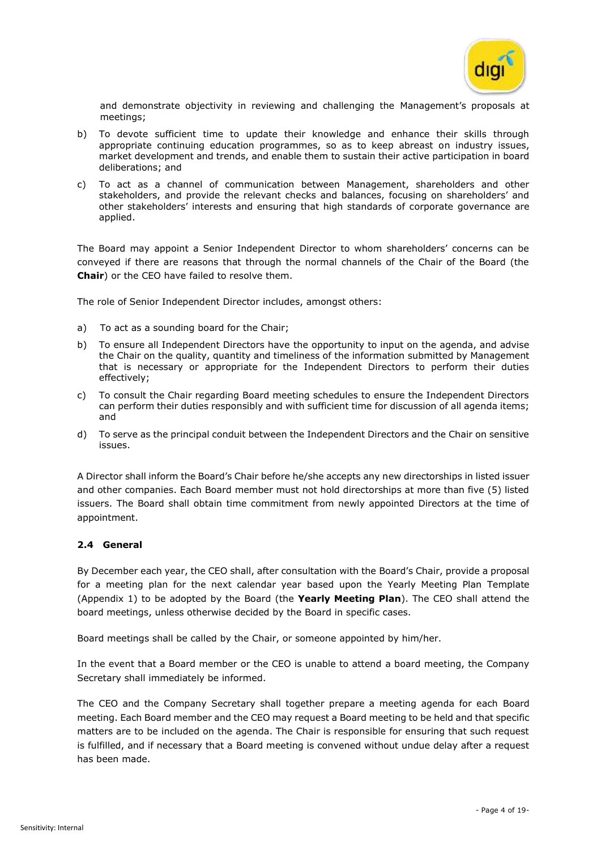

and demonstrate objectivity in reviewing and challenging the Management's proposals at meetings;

- b) To devote sufficient time to update their knowledge and enhance their skills through appropriate continuing education programmes, so as to keep abreast on industry issues, market development and trends, and enable them to sustain their active participation in board deliberations; and
- c) To act as a channel of communication between Management, shareholders and other stakeholders, and provide the relevant checks and balances, focusing on shareholders' and other stakeholders' interests and ensuring that high standards of corporate governance are applied.

The Board may appoint a Senior Independent Director to whom shareholders' concerns can be conveyed if there are reasons that through the normal channels of the Chair of the Board (the **Chair**) or the CEO have failed to resolve them.

The role of Senior Independent Director includes, amongst others:

- a) To act as a sounding board for the Chair;
- b) To ensure all Independent Directors have the opportunity to input on the agenda, and advise the Chair on the quality, quantity and timeliness of the information submitted by Management that is necessary or appropriate for the Independent Directors to perform their duties effectively;
- c) To consult the Chair regarding Board meeting schedules to ensure the Independent Directors can perform their duties responsibly and with sufficient time for discussion of all agenda items; and
- d) To serve as the principal conduit between the Independent Directors and the Chair on sensitive issues.

A Director shall inform the Board's Chair before he/she accepts any new directorships in listed issuer and other companies. Each Board member must not hold directorships at more than five (5) listed issuers. The Board shall obtain time commitment from newly appointed Directors at the time of appointment.

# **2.4 General**

By December each year, the CEO shall, after consultation with the Board's Chair, provide a proposal for a meeting plan for the next calendar year based upon the Yearly Meeting Plan Template (Appendix 1) to be adopted by the Board (the **Yearly Meeting Plan**). The CEO shall attend the board meetings, unless otherwise decided by the Board in specific cases.

Board meetings shall be called by the Chair, or someone appointed by him/her.

In the event that a Board member or the CEO is unable to attend a board meeting, the Company Secretary shall immediately be informed.

The CEO and the Company Secretary shall together prepare a meeting agenda for each Board meeting. Each Board member and the CEO may request a Board meeting to be held and that specific matters are to be included on the agenda. The Chair is responsible for ensuring that such request is fulfilled, and if necessary that a Board meeting is convened without undue delay after a request has been made.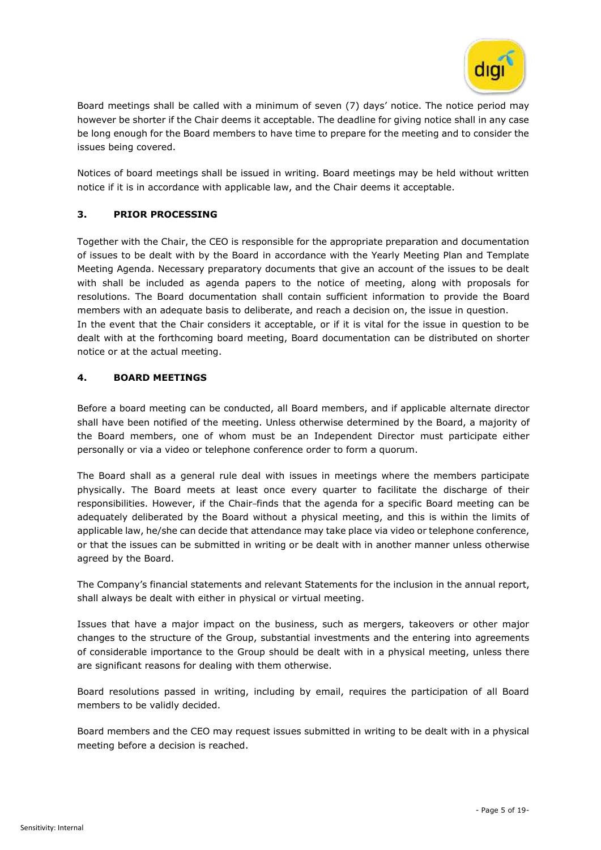

Board meetings shall be called with a minimum of seven (7) days' notice. The notice period may however be shorter if the Chair deems it acceptable. The deadline for giving notice shall in any case be long enough for the Board members to have time to prepare for the meeting and to consider the issues being covered.

Notices of board meetings shall be issued in writing. Board meetings may be held without written notice if it is in accordance with applicable law, and the Chair deems it acceptable.

# **3. PRIOR PROCESSING**

Together with the Chair, the CEO is responsible for the appropriate preparation and documentation of issues to be dealt with by the Board in accordance with the Yearly Meeting Plan and Template Meeting Agenda. Necessary preparatory documents that give an account of the issues to be dealt with shall be included as agenda papers to the notice of meeting, along with proposals for resolutions. The Board documentation shall contain sufficient information to provide the Board members with an adequate basis to deliberate, and reach a decision on, the issue in question. In the event that the Chair considers it acceptable, or if it is vital for the issue in question to be dealt with at the forthcoming board meeting, Board documentation can be distributed on shorter notice or at the actual meeting.

# **4. BOARD MEETINGS**

Before a board meeting can be conducted, all Board members, and if applicable alternate director shall have been notified of the meeting. Unless otherwise determined by the Board, a majority of the Board members, one of whom must be an Independent Director must participate either personally or via a video or telephone conference order to form a quorum.

The Board shall as a general rule deal with issues in meetings where the members participate physically. The Board meets at least once every quarter to facilitate the discharge of their responsibilities. However, if the Chair-finds that the agenda for a specific Board meeting can be adequately deliberated by the Board without a physical meeting, and this is within the limits of applicable law, he/she can decide that attendance may take place via video or telephone conference, or that the issues can be submitted in writing or be dealt with in another manner unless otherwise agreed by the Board.

The Company's financial statements and relevant Statements for the inclusion in the annual report, shall always be dealt with either in physical or virtual meeting.

Issues that have a major impact on the business, such as mergers, takeovers or other major changes to the structure of the Group, substantial investments and the entering into agreements of considerable importance to the Group should be dealt with in a physical meeting, unless there are significant reasons for dealing with them otherwise.

Board resolutions passed in writing, including by email, requires the participation of all Board members to be validly decided.

Board members and the CEO may request issues submitted in writing to be dealt with in a physical meeting before a decision is reached.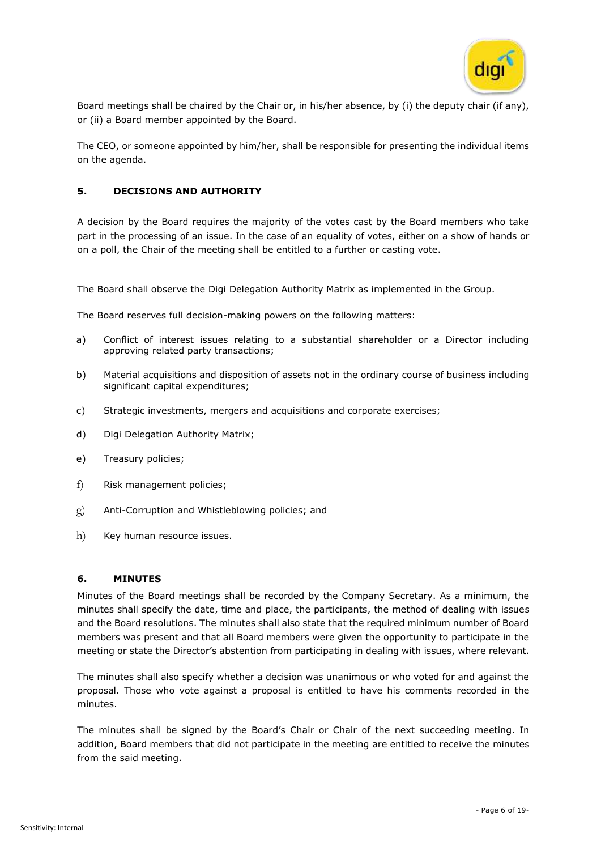

Board meetings shall be chaired by the Chair or, in his/her absence, by (i) the deputy chair (if any), or (ii) a Board member appointed by the Board.

The CEO, or someone appointed by him/her, shall be responsible for presenting the individual items on the agenda.

### **5. DECISIONS AND AUTHORITY**

A decision by the Board requires the majority of the votes cast by the Board members who take part in the processing of an issue. In the case of an equality of votes, either on a show of hands or on a poll, the Chair of the meeting shall be entitled to a further or casting vote.

The Board shall observe the Digi Delegation Authority Matrix as implemented in the Group.

The Board reserves full decision-making powers on the following matters:

- a) Conflict of interest issues relating to a substantial shareholder or a Director including approving related party transactions;
- b) Material acquisitions and disposition of assets not in the ordinary course of business including significant capital expenditures;
- c) Strategic investments, mergers and acquisitions and corporate exercises;
- d) Digi Delegation Authority Matrix;
- e) Treasury policies;
- f) Risk management policies;
- g) Anti-Corruption and Whistleblowing policies; and
- h) Key human resource issues.

#### **6. MINUTES**

Minutes of the Board meetings shall be recorded by the Company Secretary. As a minimum, the minutes shall specify the date, time and place, the participants, the method of dealing with issues and the Board resolutions. The minutes shall also state that the required minimum number of Board members was present and that all Board members were given the opportunity to participate in the meeting or state the Director's abstention from participating in dealing with issues, where relevant.

The minutes shall also specify whether a decision was unanimous or who voted for and against the proposal. Those who vote against a proposal is entitled to have his comments recorded in the minutes.

The minutes shall be signed by the Board's Chair or Chair of the next succeeding meeting. In addition, Board members that did not participate in the meeting are entitled to receive the minutes from the said meeting.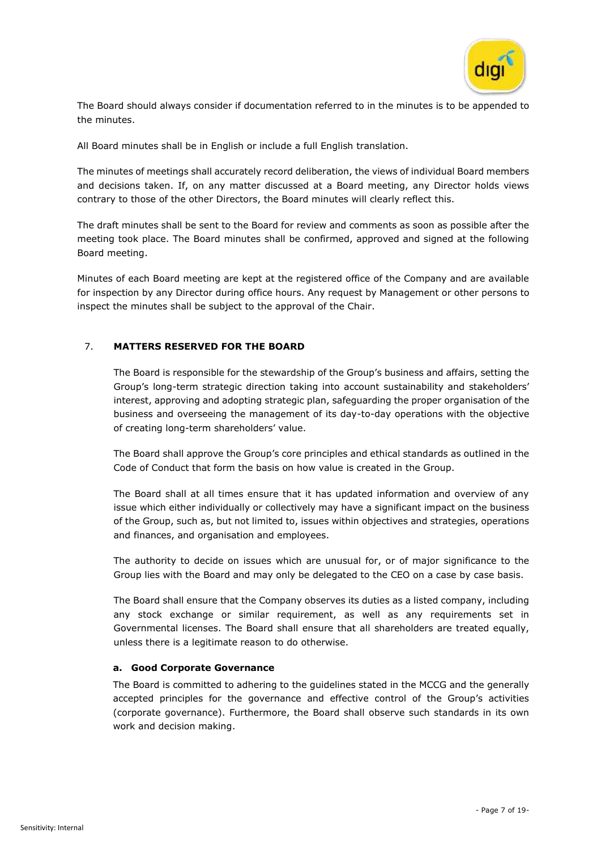

The Board should always consider if documentation referred to in the minutes is to be appended to the minutes.

All Board minutes shall be in English or include a full English translation.

The minutes of meetings shall accurately record deliberation, the views of individual Board members and decisions taken. If, on any matter discussed at a Board meeting, any Director holds views contrary to those of the other Directors, the Board minutes will clearly reflect this.

The draft minutes shall be sent to the Board for review and comments as soon as possible after the meeting took place. The Board minutes shall be confirmed, approved and signed at the following Board meeting.

Minutes of each Board meeting are kept at the registered office of the Company and are available for inspection by any Director during office hours. Any request by Management or other persons to inspect the minutes shall be subject to the approval of the Chair.

# 7. **MATTERS RESERVED FOR THE BOARD**

The Board is responsible for the stewardship of the Group's business and affairs, setting the Group's long-term strategic direction taking into account sustainability and stakeholders' interest, approving and adopting strategic plan, safeguarding the proper organisation of the business and overseeing the management of its day-to-day operations with the objective of creating long-term shareholders' value.

The Board shall approve the Group's core principles and ethical standards as outlined in the Code of Conduct that form the basis on how value is created in the Group.

The Board shall at all times ensure that it has updated information and overview of any issue which either individually or collectively may have a significant impact on the business of the Group, such as, but not limited to, issues within objectives and strategies, operations and finances, and organisation and employees.

The authority to decide on issues which are unusual for, or of major significance to the Group lies with the Board and may only be delegated to the CEO on a case by case basis.

The Board shall ensure that the Company observes its duties as a listed company, including any stock exchange or similar requirement, as well as any requirements set in Governmental licenses. The Board shall ensure that all shareholders are treated equally, unless there is a legitimate reason to do otherwise.

#### **a. Good Corporate Governance**

The Board is committed to adhering to the guidelines stated in the MCCG and the generally accepted principles for the governance and effective control of the Group's activities (corporate governance). Furthermore, the Board shall observe such standards in its own work and decision making.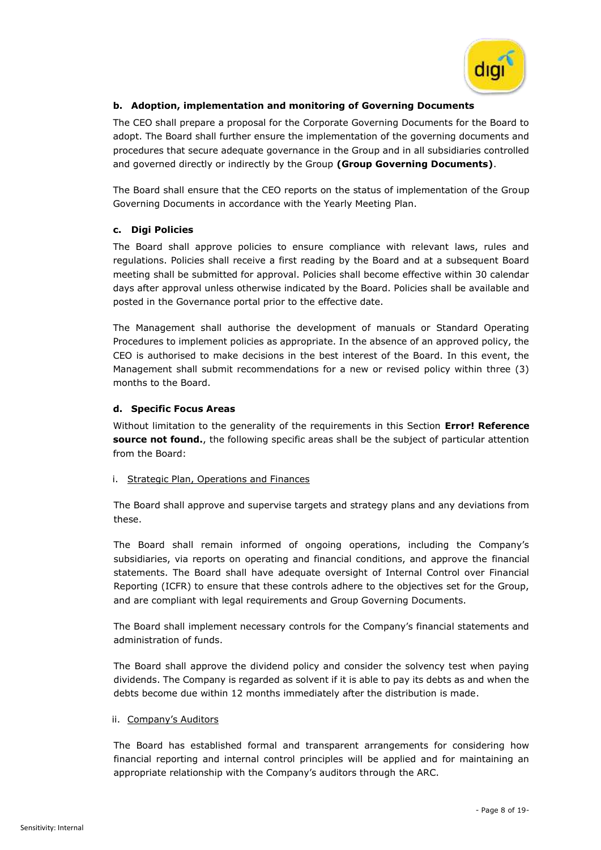

# **b. Adoption, implementation and monitoring of Governing Documents**

The CEO shall prepare a proposal for the Corporate Governing Documents for the Board to adopt. The Board shall further ensure the implementation of the governing documents and procedures that secure adequate governance in the Group and in all subsidiaries controlled and governed directly or indirectly by the Group **(Group Governing Documents)**.

The Board shall ensure that the CEO reports on the status of implementation of the Group Governing Documents in accordance with the Yearly Meeting Plan.

# **c. Digi Policies**

The Board shall approve policies to ensure compliance with relevant laws, rules and regulations. Policies shall receive a first reading by the Board and at a subsequent Board meeting shall be submitted for approval. Policies shall become effective within 30 calendar days after approval unless otherwise indicated by the Board. Policies shall be available and posted in the Governance portal prior to the effective date.

The Management shall authorise the development of manuals or Standard Operating Procedures to implement policies as appropriate. In the absence of an approved policy, the CEO is authorised to make decisions in the best interest of the Board. In this event, the Management shall submit recommendations for a new or revised policy within three (3) months to the Board.

# **d. Specific Focus Areas**

Without limitation to the generality of the requirements in this Section **Error! Reference source not found.**, the following specific areas shall be the subject of particular attention from the Board:

# i. Strategic Plan, Operations and Finances

The Board shall approve and supervise targets and strategy plans and any deviations from these.

The Board shall remain informed of ongoing operations, including the Company's subsidiaries, via reports on operating and financial conditions, and approve the financial statements. The Board shall have adequate oversight of Internal Control over Financial Reporting (ICFR) to ensure that these controls adhere to the objectives set for the Group, and are compliant with legal requirements and Group Governing Documents.

The Board shall implement necessary controls for the Company's financial statements and administration of funds.

The Board shall approve the dividend policy and consider the solvency test when paying dividends. The Company is regarded as solvent if it is able to pay its debts as and when the debts become due within 12 months immediately after the distribution is made.

# ii. Company's Auditors

The Board has established formal and transparent arrangements for considering how financial reporting and internal control principles will be applied and for maintaining an appropriate relationship with the Company's auditors through the ARC.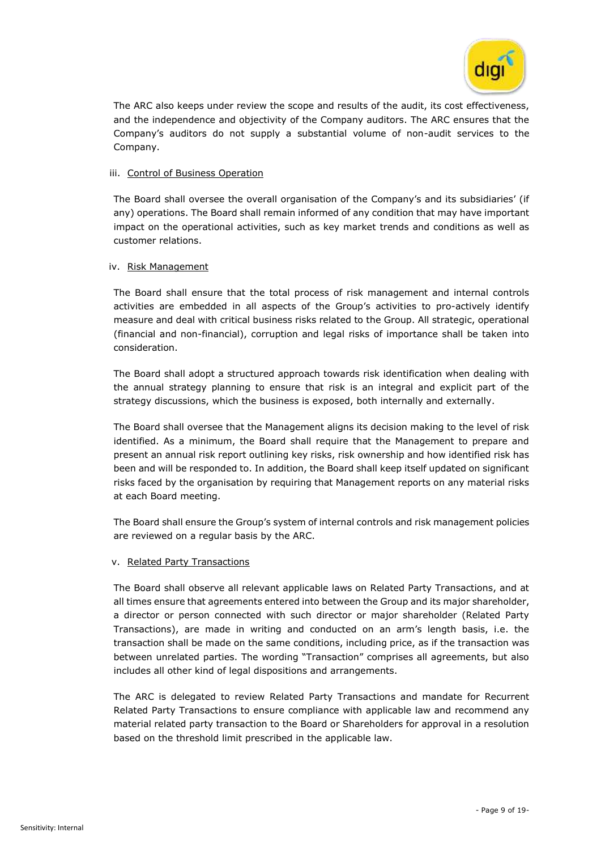

The ARC also keeps under review the scope and results of the audit, its cost effectiveness, and the independence and objectivity of the Company auditors. The ARC ensures that the Company's auditors do not supply a substantial volume of non-audit services to the Company.

### iii. Control of Business Operation

The Board shall oversee the overall organisation of the Company's and its subsidiaries' (if any) operations. The Board shall remain informed of any condition that may have important impact on the operational activities, such as key market trends and conditions as well as customer relations.

#### iv. Risk Management

The Board shall ensure that the total process of risk management and internal controls activities are embedded in all aspects of the Group's activities to pro-actively identify measure and deal with critical business risks related to the Group. All strategic, operational (financial and non-financial), corruption and legal risks of importance shall be taken into consideration.

The Board shall adopt a structured approach towards risk identification when dealing with the annual strategy planning to ensure that risk is an integral and explicit part of the strategy discussions, which the business is exposed, both internally and externally.

The Board shall oversee that the Management aligns its decision making to the level of risk identified. As a minimum, the Board shall require that the Management to prepare and present an annual risk report outlining key risks, risk ownership and how identified risk has been and will be responded to. In addition, the Board shall keep itself updated on significant risks faced by the organisation by requiring that Management reports on any material risks at each Board meeting.

The Board shall ensure the Group's system of internal controls and risk management policies are reviewed on a regular basis by the ARC.

#### v. Related Party Transactions

The Board shall observe all relevant applicable laws on Related Party Transactions, and at all times ensure that agreements entered into between the Group and its major shareholder, a director or person connected with such director or major shareholder (Related Party Transactions), are made in writing and conducted on an arm's length basis, i.e. the transaction shall be made on the same conditions, including price, as if the transaction was between unrelated parties. The wording "Transaction" comprises all agreements, but also includes all other kind of legal dispositions and arrangements.

The ARC is delegated to review Related Party Transactions and mandate for Recurrent Related Party Transactions to ensure compliance with applicable law and recommend any material related party transaction to the Board or Shareholders for approval in a resolution based on the threshold limit prescribed in the applicable law.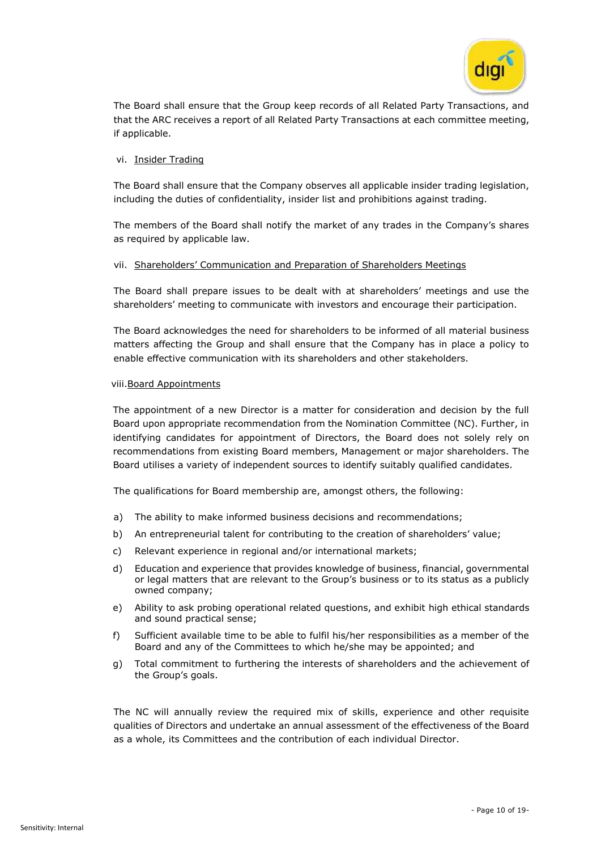

The Board shall ensure that the Group keep records of all Related Party Transactions, and that the ARC receives a report of all Related Party Transactions at each committee meeting, if applicable.

#### vi. Insider Trading

The Board shall ensure that the Company observes all applicable insider trading legislation, including the duties of confidentiality, insider list and prohibitions against trading.

The members of the Board shall notify the market of any trades in the Company's shares as required by applicable law.

### vii. Shareholders' Communication and Preparation of Shareholders Meetings

The Board shall prepare issues to be dealt with at shareholders' meetings and use the shareholders' meeting to communicate with investors and encourage their participation.

The Board acknowledges the need for shareholders to be informed of all material business matters affecting the Group and shall ensure that the Company has in place a policy to enable effective communication with its shareholders and other stakeholders.

#### viii.Board Appointments

The appointment of a new Director is a matter for consideration and decision by the full Board upon appropriate recommendation from the Nomination Committee (NC). Further, in identifying candidates for appointment of Directors, the Board does not solely rely on recommendations from existing Board members, Management or major shareholders. The Board utilises a variety of independent sources to identify suitably qualified candidates.

The qualifications for Board membership are, amongst others, the following:

- a) The ability to make informed business decisions and recommendations;
- b) An entrepreneurial talent for contributing to the creation of shareholders' value;
- c) Relevant experience in regional and/or international markets;
- d) Education and experience that provides knowledge of business, financial, governmental or legal matters that are relevant to the Group's business or to its status as a publicly owned company;
- e) Ability to ask probing operational related questions, and exhibit high ethical standards and sound practical sense;
- f) Sufficient available time to be able to fulfil his/her responsibilities as a member of the Board and any of the Committees to which he/she may be appointed; and
- g) Total commitment to furthering the interests of shareholders and the achievement of the Group's goals.

The NC will annually review the required mix of skills, experience and other requisite qualities of Directors and undertake an annual assessment of the effectiveness of the Board as a whole, its Committees and the contribution of each individual Director.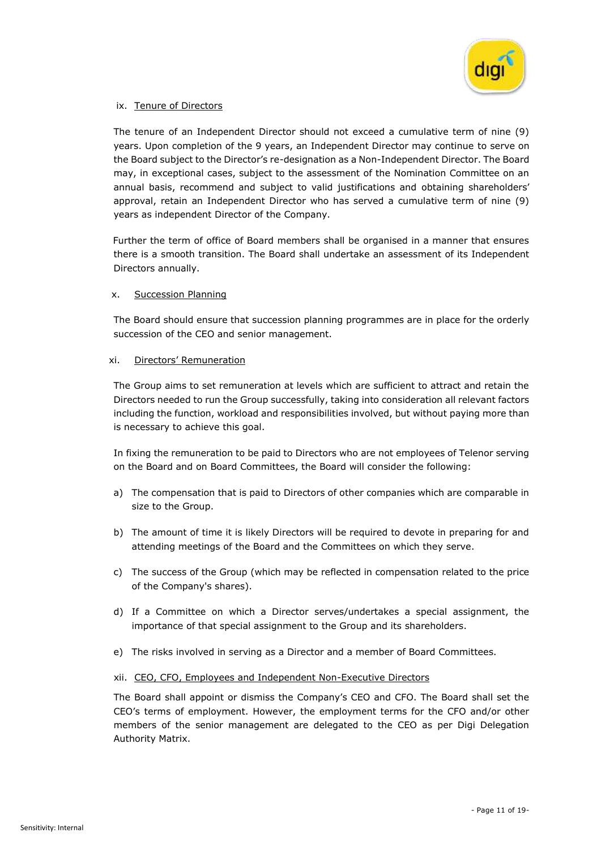

#### ix. Tenure of Directors

The tenure of an Independent Director should not exceed a cumulative term of nine (9) years. Upon completion of the 9 years, an Independent Director may continue to serve on the Board subject to the Director's re-designation as a Non-Independent Director. The Board may, in exceptional cases, subject to the assessment of the Nomination Committee on an annual basis, recommend and subject to valid justifications and obtaining shareholders' approval, retain an Independent Director who has served a cumulative term of nine (9) years as independent Director of the Company.

Further the term of office of Board members shall be organised in a manner that ensures there is a smooth transition. The Board shall undertake an assessment of its Independent Directors annually.

#### x. Succession Planning

The Board should ensure that succession planning programmes are in place for the orderly succession of the CEO and senior management.

#### xi. Directors' Remuneration

The Group aims to set remuneration at levels which are sufficient to attract and retain the Directors needed to run the Group successfully, taking into consideration all relevant factors including the function, workload and responsibilities involved, but without paying more than is necessary to achieve this goal.

In fixing the remuneration to be paid to Directors who are not employees of Telenor serving on the Board and on Board Committees, the Board will consider the following:

- a) The compensation that is paid to Directors of other companies which are comparable in size to the Group.
- b) The amount of time it is likely Directors will be required to devote in preparing for and attending meetings of the Board and the Committees on which they serve.
- c) The success of the Group (which may be reflected in compensation related to the price of the Company's shares).
- d) If a Committee on which a Director serves/undertakes a special assignment, the importance of that special assignment to the Group and its shareholders.
- e) The risks involved in serving as a Director and a member of Board Committees.

#### xii. CEO, CFO, Employees and Independent Non-Executive Directors

The Board shall appoint or dismiss the Company's CEO and CFO. The Board shall set the CEO's terms of employment. However, the employment terms for the CFO and/or other members of the senior management are delegated to the CEO as per Digi Delegation Authority Matrix.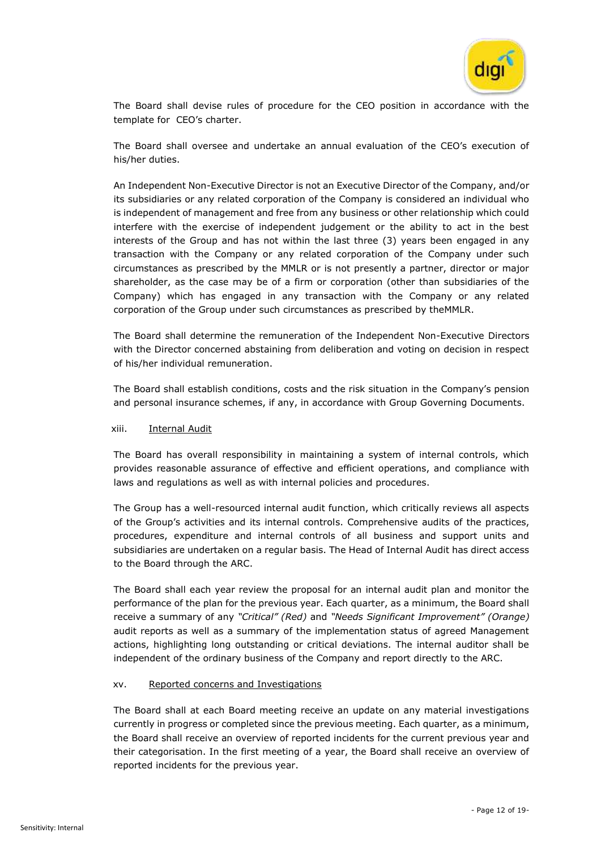

The Board shall devise rules of procedure for the CEO position in accordance with the template for CEO's charter.

The Board shall oversee and undertake an annual evaluation of the CEO's execution of his/her duties.

An Independent Non-Executive Director is not an Executive Director of the Company, and/or its subsidiaries or any related corporation of the Company is considered an individual who is independent of management and free from any business or other relationship which could interfere with the exercise of independent judgement or the ability to act in the best interests of the Group and has not within the last three (3) years been engaged in any transaction with the Company or any related corporation of the Company under such circumstances as prescribed by the MMLR or is not presently a partner, director or major shareholder, as the case may be of a firm or corporation (other than subsidiaries of the Company) which has engaged in any transaction with the Company or any related corporation of the Group under such circumstances as prescribed by theMMLR.

The Board shall determine the remuneration of the Independent Non-Executive Directors with the Director concerned abstaining from deliberation and voting on decision in respect of his/her individual remuneration.

The Board shall establish conditions, costs and the risk situation in the Company's pension and personal insurance schemes, if any, in accordance with Group Governing Documents.

#### xiii. Internal Audit

The Board has overall responsibility in maintaining a system of internal controls, which provides reasonable assurance of effective and efficient operations, and compliance with laws and regulations as well as with internal policies and procedures.

The Group has a well-resourced internal audit function, which critically reviews all aspects of the Group's activities and its internal controls. Comprehensive audits of the practices, procedures, expenditure and internal controls of all business and support units and subsidiaries are undertaken on a regular basis. The Head of Internal Audit has direct access to the Board through the ARC.

The Board shall each year review the proposal for an internal audit plan and monitor the performance of the plan for the previous year. Each quarter, as a minimum, the Board shall receive a summary of any *"Critical" (Red)* and *"Needs Significant Improvement" (Orange)* audit reports as well as a summary of the implementation status of agreed Management actions, highlighting long outstanding or critical deviations. The internal auditor shall be independent of the ordinary business of the Company and report directly to the ARC.

#### xv. Reported concerns and Investigations

The Board shall at each Board meeting receive an update on any material investigations currently in progress or completed since the previous meeting. Each quarter, as a minimum, the Board shall receive an overview of reported incidents for the current previous year and their categorisation. In the first meeting of a year, the Board shall receive an overview of reported incidents for the previous year.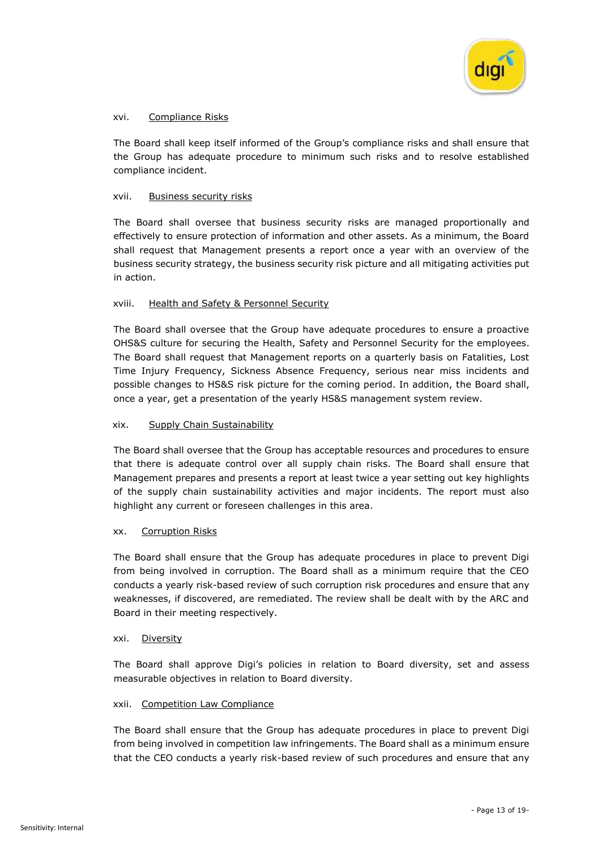

#### xvi. Compliance Risks

The Board shall keep itself informed of the Group's compliance risks and shall ensure that the Group has adequate procedure to minimum such risks and to resolve established compliance incident.

#### xvii. Business security risks

The Board shall oversee that business security risks are managed proportionally and effectively to ensure protection of information and other assets. As a minimum, the Board shall request that Management presents a report once a year with an overview of the business security strategy, the business security risk picture and all mitigating activities put in action.

### xviii. Health and Safety & Personnel Security

The Board shall oversee that the Group have adequate procedures to ensure a proactive OHS&S culture for securing the Health, Safety and Personnel Security for the employees. The Board shall request that Management reports on a quarterly basis on Fatalities, Lost Time Injury Frequency, Sickness Absence Frequency, serious near miss incidents and possible changes to HS&S risk picture for the coming period. In addition, the Board shall, once a year, get a presentation of the yearly HS&S management system review.

### xix. Supply Chain Sustainability

The Board shall oversee that the Group has acceptable resources and procedures to ensure that there is adequate control over all supply chain risks. The Board shall ensure that Management prepares and presents a report at least twice a year setting out key highlights of the supply chain sustainability activities and major incidents. The report must also highlight any current or foreseen challenges in this area.

#### xx. Corruption Risks

The Board shall ensure that the Group has adequate procedures in place to prevent Digi from being involved in corruption. The Board shall as a minimum require that the CEO conducts a yearly risk-based review of such corruption risk procedures and ensure that any weaknesses, if discovered, are remediated. The review shall be dealt with by the ARC and Board in their meeting respectively.

#### xxi. Diversity

The Board shall approve Digi's policies in relation to Board diversity, set and assess measurable objectives in relation to Board diversity.

#### xxii. Competition Law Compliance

The Board shall ensure that the Group has adequate procedures in place to prevent Digi from being involved in competition law infringements. The Board shall as a minimum ensure that the CEO conducts a yearly risk-based review of such procedures and ensure that any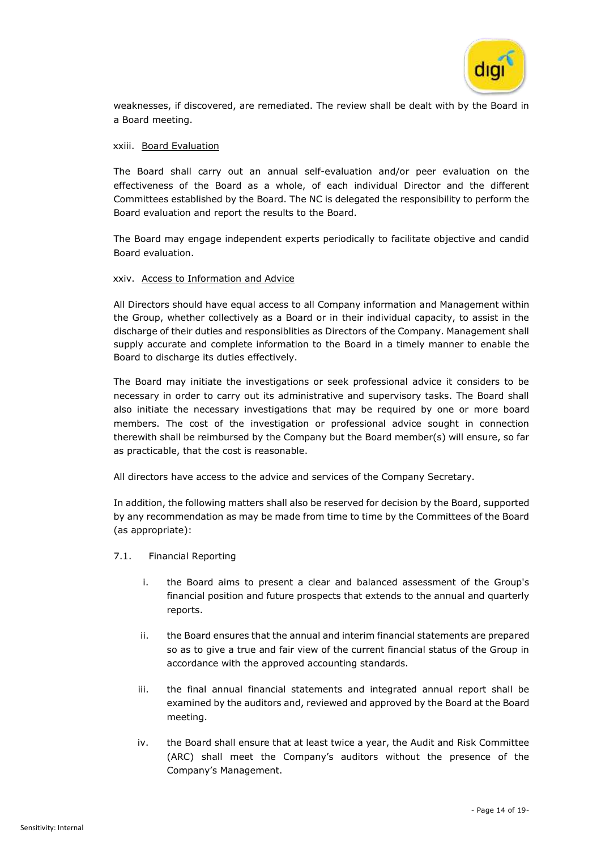

weaknesses, if discovered, are remediated. The review shall be dealt with by the Board in a Board meeting.

#### xxiii. Board Evaluation

The Board shall carry out an annual self-evaluation and/or peer evaluation on the effectiveness of the Board as a whole, of each individual Director and the different Committees established by the Board. The NC is delegated the responsibility to perform the Board evaluation and report the results to the Board.

The Board may engage independent experts periodically to facilitate objective and candid Board evaluation.

#### xxiv. Access to Information and Advice

All Directors should have equal access to all Company information and Management within the Group, whether collectively as a Board or in their individual capacity, to assist in the discharge of their duties and responsiblities as Directors of the Company. Management shall supply accurate and complete information to the Board in a timely manner to enable the Board to discharge its duties effectively.

The Board may initiate the investigations or seek professional advice it considers to be necessary in order to carry out its administrative and supervisory tasks. The Board shall also initiate the necessary investigations that may be required by one or more board members. The cost of the investigation or professional advice sought in connection therewith shall be reimbursed by the Company but the Board member(s) will ensure, so far as practicable, that the cost is reasonable.

All directors have access to the advice and services of the Company Secretary.

In addition, the following matters shall also be reserved for decision by the Board, supported by any recommendation as may be made from time to time by the Committees of the Board (as appropriate):

- 7.1. Financial Reporting
	- i. the Board aims to present a clear and balanced assessment of the Group's financial position and future prospects that extends to the annual and quarterly reports.
	- ii. the Board ensures that the annual and interim financial statements are prepared so as to give a true and fair view of the current financial status of the Group in accordance with the approved accounting standards.
	- iii. the final annual financial statements and integrated annual report shall be examined by the auditors and, reviewed and approved by the Board at the Board meeting.
	- iv. the Board shall ensure that at least twice a year, the Audit and Risk Committee (ARC) shall meet the Company's auditors without the presence of the Company's Management.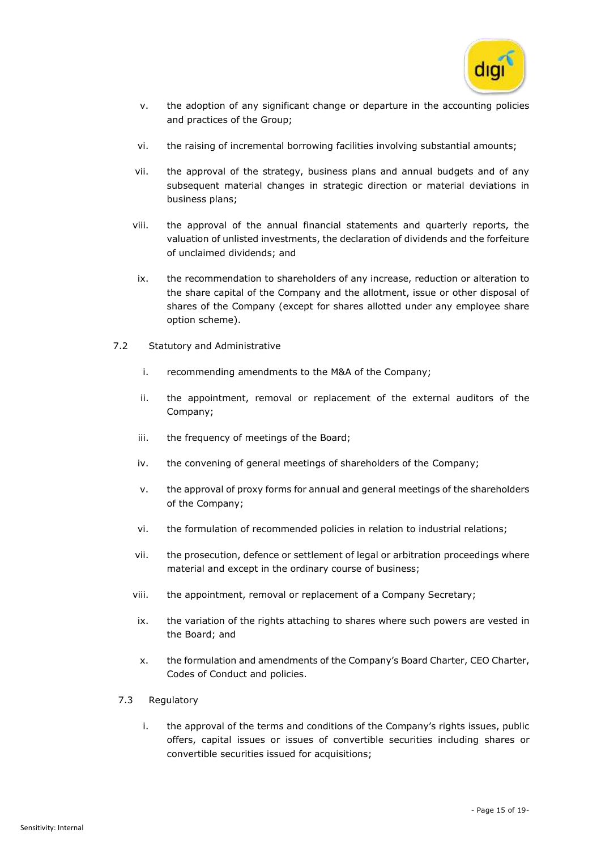

- v. the adoption of any significant change or departure in the accounting policies and practices of the Group;
- vi. the raising of incremental borrowing facilities involving substantial amounts;
- vii. the approval of the strategy, business plans and annual budgets and of any subsequent material changes in strategic direction or material deviations in business plans;
- viii. the approval of the annual financial statements and quarterly reports, the valuation of unlisted investments, the declaration of dividends and the forfeiture of unclaimed dividends; and
- ix. the recommendation to shareholders of any increase, reduction or alteration to the share capital of the Company and the allotment, issue or other disposal of shares of the Company (except for shares allotted under any employee share option scheme).
- 7.2 Statutory and Administrative
	- i. recommending amendments to the M&A of the Company;
	- ii. the appointment, removal or replacement of the external auditors of the Company;
	- iii. the frequency of meetings of the Board;
	- iv. the convening of general meetings of shareholders of the Company;
	- v. the approval of proxy forms for annual and general meetings of the shareholders of the Company;
	- vi. the formulation of recommended policies in relation to industrial relations;
	- vii. the prosecution, defence or settlement of legal or arbitration proceedings where material and except in the ordinary course of business;
	- viii. the appointment, removal or replacement of a Company Secretary;
	- ix. the variation of the rights attaching to shares where such powers are vested in the Board; and
	- x. the formulation and amendments of the Company's Board Charter, CEO Charter, Codes of Conduct and policies.
- 7.3 Regulatory
	- i. the approval of the terms and conditions of the Company's rights issues, public offers, capital issues or issues of convertible securities including shares or convertible securities issued for acquisitions;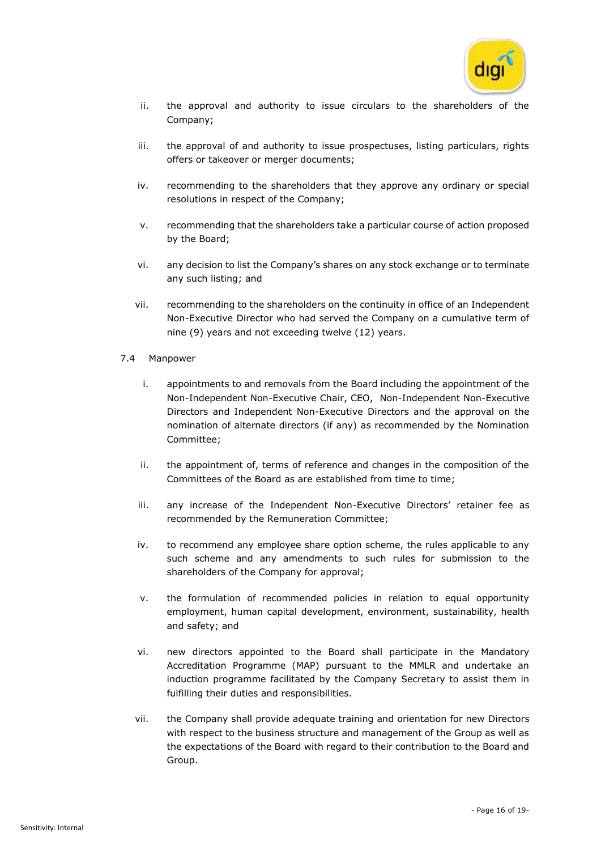

- ii. the approval and authority to issue circulars to the shareholders of the Company;
- iii. the approval of and authority to issue prospectuses, listing particulars, rights offers or takeover or merger documents;
- iv. recommending to the shareholders that they approve any ordinary or special resolutions in respect of the Company;
- v. recommending that the shareholders take a particular course of action proposed by the Board;
- vi. any decision to list the Company's shares on any stock exchange or to terminate any such listing; and
- vii. recommending to the shareholders on the continuity in office of an Independent Non-Executive Director who had served the Company on a cumulative term of nine (9) years and not exceeding twelve (12) years.
- 7.4 Manpower
	- i. appointments to and removals from the Board including the appointment of the Non-Independent Non-Executive Chair, CEO, Non-Independent Non-Executive Directors and Independent Non-Executive Directors and the approval on the nomination of alternate directors (if any) as recommended by the Nomination Committee;
	- ii. the appointment of, terms of reference and changes in the composition of the Committees of the Board as are established from time to time;
	- iii. any increase of the Independent Non-Executive Directors' retainer fee as recommended by the Remuneration Committee;
	- iv. to recommend any employee share option scheme, the rules applicable to any such scheme and any amendments to such rules for submission to the shareholders of the Company for approval;
	- v. the formulation of recommended policies in relation to equal opportunity employment, human capital development, environment, sustainability, health and safety; and
	- vi. new directors appointed to the Board shall participate in the Mandatory Accreditation Programme (MAP) pursuant to the MMLR and undertake an induction programme facilitated by the Company Secretary to assist them in fulfilling their duties and responsibilities.
	- vii. the Company shall provide adequate training and orientation for new Directors with respect to the business structure and management of the Group as well as the expectations of the Board with regard to their contribution to the Board and Group.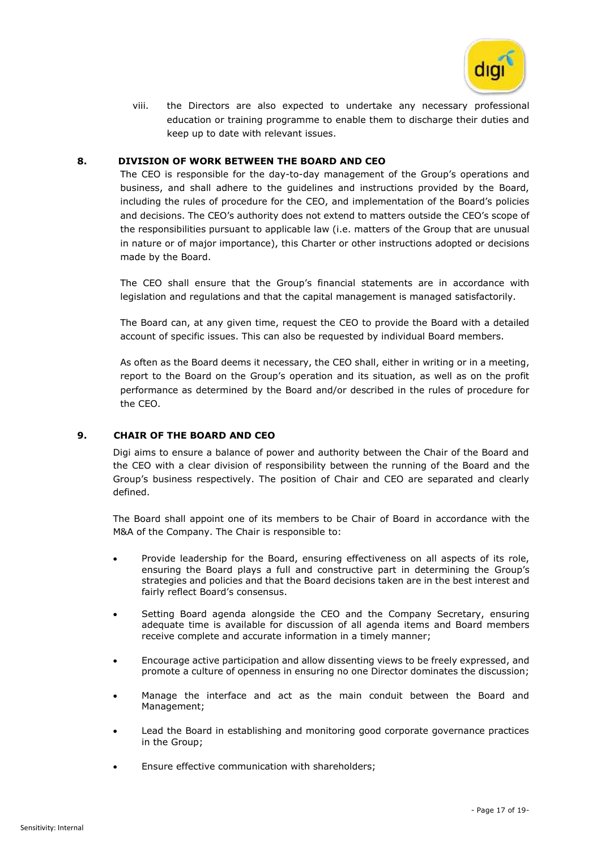

viii. the Directors are also expected to undertake any necessary professional education or training programme to enable them to discharge their duties and keep up to date with relevant issues.

### **8. DIVISION OF WORK BETWEEN THE BOARD AND CEO**

The CEO is responsible for the day-to-day management of the Group's operations and business, and shall adhere to the guidelines and instructions provided by the Board, including the rules of procedure for the CEO, and implementation of the Board's policies and decisions. The CEO's authority does not extend to matters outside the CEO's scope of the responsibilities pursuant to applicable law (i.e. matters of the Group that are unusual in nature or of major importance), this Charter or other instructions adopted or decisions made by the Board.

The CEO shall ensure that the Group's financial statements are in accordance with legislation and regulations and that the capital management is managed satisfactorily.

The Board can, at any given time, request the CEO to provide the Board with a detailed account of specific issues. This can also be requested by individual Board members.

As often as the Board deems it necessary, the CEO shall, either in writing or in a meeting, report to the Board on the Group's operation and its situation, as well as on the profit performance as determined by the Board and/or described in the rules of procedure for the CEO.

# **9. CHAIR OF THE BOARD AND CEO**

Digi aims to ensure a balance of power and authority between the Chair of the Board and the CEO with a clear division of responsibility between the running of the Board and the Group's business respectively. The position of Chair and CEO are separated and clearly defined.

The Board shall appoint one of its members to be Chair of Board in accordance with the M&A of the Company. The Chair is responsible to:

- Provide leadership for the Board, ensuring effectiveness on all aspects of its role, ensuring the Board plays a full and constructive part in determining the Group's strategies and policies and that the Board decisions taken are in the best interest and fairly reflect Board's consensus.
- Setting Board agenda alongside the CEO and the Company Secretary, ensuring adequate time is available for discussion of all agenda items and Board members receive complete and accurate information in a timely manner;
- Encourage active participation and allow dissenting views to be freely expressed, and promote a culture of openness in ensuring no one Director dominates the discussion;
- Manage the interface and act as the main conduit between the Board and Management;
- Lead the Board in establishing and monitoring good corporate governance practices in the Group;
- Ensure effective communication with shareholders;